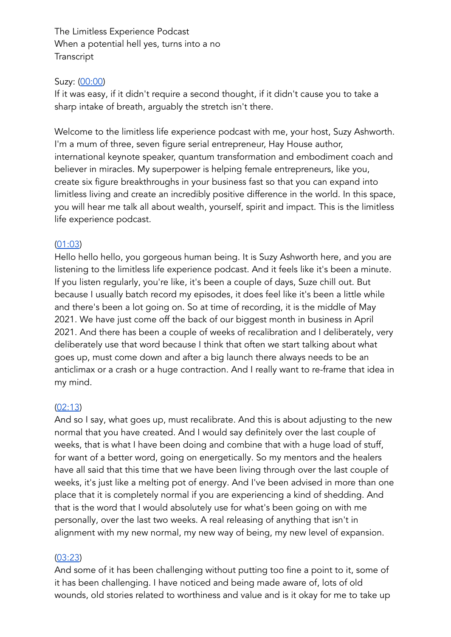The Limitless Experience Podcast When a potential hell yes, turns into a no Transcript

### Suzy: (00:00)

If it was easy, if it didn't require a second thought, if it didn't cause you to take a sharp intake of breath, arguably the stretch isn't there.

Welcome to the limitless life experience podcast with me, your host, Suzy Ashworth. I'm a mum of three, seven figure serial entrepreneur, Hay House author, international keynote speaker, quantum transformation and embodiment coach and believer in miracles. My superpower is helping female entrepreneurs, like you, create six figure breakthroughs in your business fast so that you can expand into limitless living and create an incredibly positive difference in the world. In this space, you will hear me talk all about wealth, yourself, spirit and impact. This is the limitless life experience podcast.

### $(01:03)$

Hello hello hello, you gorgeous human being. It is Suzy Ashworth here, and you are listening to the limitless life experience podcast. And it feels like it's been a minute. If you listen regularly, you're like, it's been a couple of days, Suze chill out. But because I usually batch record my episodes, it does feel like it's been a little while and there's been a lot going on. So at time of recording, it is the middle of May 2021. We have just come off the back of our biggest month in business in April 2021. And there has been a couple of weeks of recalibration and I deliberately, very deliberately use that word because I think that often we start talking about what goes up, must come down and after a big launch there always needs to be an anticlimax or a crash or a huge contraction. And I really want to re-frame that idea in my mind.

#### $(02:13)$

And so I say, what goes up, must recalibrate. And this is about adjusting to the new normal that you have created. And I would say definitely over the last couple of weeks, that is what I have been doing and combine that with a huge load of stuff, for want of a better word, going on energetically. So my mentors and the healers have all said that this time that we have been living through over the last couple of weeks, it's just like a melting pot of energy. And I've been advised in more than one place that it is completely normal if you are experiencing a kind of shedding. And that is the word that I would absolutely use for what's been going on with me personally, over the last two weeks. A real releasing of anything that isn't in alignment with my new normal, my new way of being, my new level of expansion.

## $(03:23)$

And some of it has been challenging without putting too fine a point to it, some of it has been challenging. I have noticed and being made aware of, lots of old wounds, old stories related to worthiness and value and is it okay for me to take up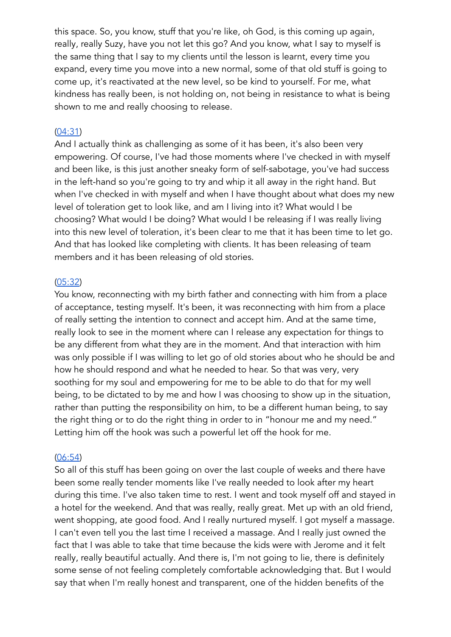this space. So, you know, stuff that you're like, oh God, is this coming up again, really, really Suzy, have you not let this go? And you know, what I say to myself is the same thing that I say to my clients until the lesson is learnt, every time you expand, every time you move into a new normal, some of that old stuff is going to come up, it's reactivated at the new level, so be kind to yourself. For me, what kindness has really been, is not holding on, not being in resistance to what is being shown to me and really choosing to release.

### $(04:31)$

And I actually think as challenging as some of it has been, it's also been very empowering. Of course, I've had those moments where I've checked in with myself and been like, is this just another sneaky form of self-sabotage, you've had success in the left-hand so you're going to try and whip it all away in the right hand. But when I've checked in with myself and when I have thought about what does my new level of toleration get to look like, and am I living into it? What would I be choosing? What would I be doing? What would I be releasing if I was really living into this new level of toleration, it's been clear to me that it has been time to let go. And that has looked like completing with clients. It has been releasing of team members and it has been releasing of old stories.

#### $(05:32)$

You know, reconnecting with my birth father and connecting with him from a place of acceptance, testing myself. It's been, it was reconnecting with him from a place of really setting the intention to connect and accept him. And at the same time, really look to see in the moment where can I release any expectation for things to be any different from what they are in the moment. And that interaction with him was only possible if I was willing to let go of old stories about who he should be and how he should respond and what he needed to hear. So that was very, very soothing for my soul and empowering for me to be able to do that for my well being, to be dictated to by me and how I was choosing to show up in the situation, rather than putting the responsibility on him, to be a different human being, to say the right thing or to do the right thing in order to in "honour me and my need." Letting him off the hook was such a powerful let off the hook for me.

#### $(06:54)$

So all of this stuff has been going on over the last couple of weeks and there have been some really tender moments like I've really needed to look after my heart during this time. I've also taken time to rest. I went and took myself off and stayed in a hotel for the weekend. And that was really, really great. Met up with an old friend, went shopping, ate good food. And I really nurtured myself. I got myself a massage. I can't even tell you the last time I received a massage. And I really just owned the fact that I was able to take that time because the kids were with Jerome and it felt really, really beautiful actually. And there is, I'm not going to lie, there is definitely some sense of not feeling completely comfortable acknowledging that. But I would say that when I'm really honest and transparent, one of the hidden benefits of the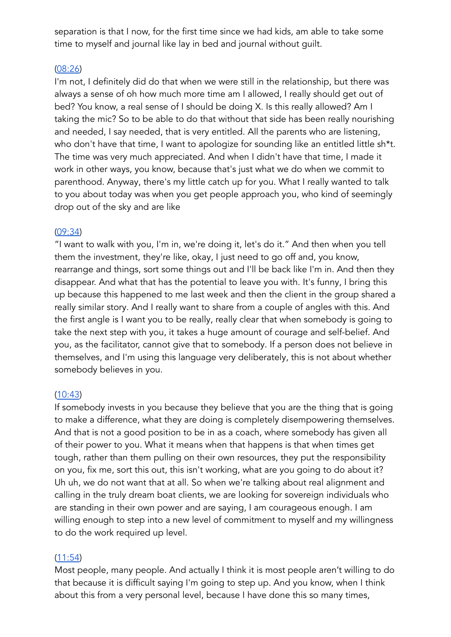separation is that I now, for the first time since we had kids, am able to take some time to myself and journal like lay in bed and journal without quilt.

### $(08:26)$

I'm not, I definitely did do that when we were still in the relationship, but there was always a sense of oh how much more time am I allowed, I really should get out of bed? You know, a real sense of I should be doing X. Is this really allowed? Am I taking the mic? So to be able to do that without that side has been really nourishing and needed, I say needed, that is very entitled. All the parents who are listening, who don't have that time, I want to apologize for sounding like an entitled little sh\*t. The time was very much appreciated. And when I didn't have that time, I made it work in other ways, you know, because that's just what we do when we commit to parenthood. Anyway, there's my little catch up for you. What I really wanted to talk to you about today was when you get people approach you, who kind of seemingly drop out of the sky and are like

### $(09:34)$

"I want to walk with you, I'm in, we're doing it, let's do it." And then when you tell them the investment, they're like, okay, I just need to go off and, you know, rearrange and things, sort some things out and I'll be back like I'm in. And then they disappear. And what that has the potential to leave you with. It's funny, I bring this up because this happened to me last week and then the client in the group shared a really similar story. And I really want to share from a couple of angles with this. And the first angle is I want you to be really, really clear that when somebody is going to take the next step with you, it takes a huge amount of courage and self-belief. And you, as the facilitator, cannot give that to somebody. If a person does not believe in themselves, and I'm using this language very deliberately, this is not about whether somebody believes in you.

## $(10:43)$

If somebody invests in you because they believe that you are the thing that is going to make a difference, what they are doing is completely disempowering themselves. And that is not a good position to be in as a coach, where somebody has given all of their power to you. What it means when that happens is that when times get tough, rather than them pulling on their own resources, they put the responsibility on you, fix me, sort this out, this isn't working, what are you going to do about it? Uh uh, we do not want that at all. So when we're talking about real alignment and calling in the truly dream boat clients, we are looking for sovereign individuals who are standing in their own power and are saying, I am courageous enough. I am willing enough to step into a new level of commitment to myself and my willingness to do the work required up level.

#### $(11:54)$

Most people, many people. And actually I think it is most people aren't willing to do that because it is difficult saying I'm going to step up. And you know, when I think about this from a very personal level, because I have done this so many times,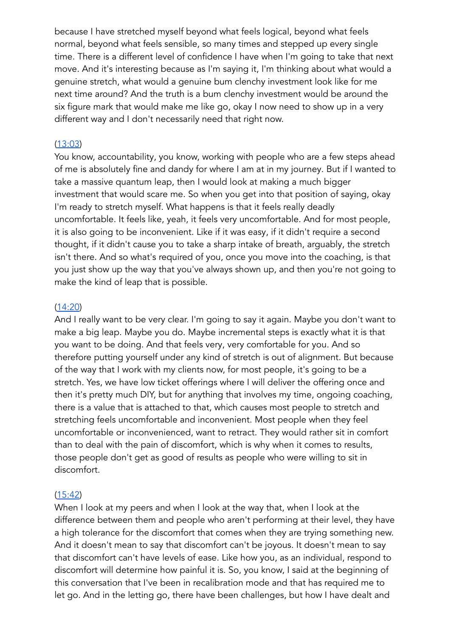because I have stretched myself beyond what feels logical, beyond what feels normal, beyond what feels sensible, so many times and stepped up every single time. There is a different level of confidence I have when I'm going to take that next move. And it's interesting because as I'm saying it, I'm thinking about what would a genuine stretch, what would a genuine bum clenchy investment look like for me next time around? And the truth is a bum clenchy investment would be around the six figure mark that would make me like go, okay I now need to show up in a very different way and I don't necessarily need that right now.

### $(13:03)$

You know, accountability, you know, working with people who are a few steps ahead of me is absolutely fine and dandy for where I am at in my journey. But if I wanted to take a massive quantum leap, then I would look at making a much bigger investment that would scare me. So when you get into that position of saying, okay I'm ready to stretch myself. What happens is that it feels really deadly uncomfortable. It feels like, yeah, it feels very uncomfortable. And for most people, it is also going to be inconvenient. Like if it was easy, if it didn't require a second thought, if it didn't cause you to take a sharp intake of breath, arguably, the stretch isn't there. And so what's required of you, once you move into the coaching, is that you just show up the way that you've always shown up, and then you're not going to make the kind of leap that is possible.

#### $(14:20)$

And I really want to be very clear. I'm going to say it again. Maybe you don't want to make a big leap. Maybe you do. Maybe incremental steps is exactly what it is that you want to be doing. And that feels very, very comfortable for you. And so therefore putting yourself under any kind of stretch is out of alignment. But because of the way that I work with my clients now, for most people, it's going to be a stretch. Yes, we have low ticket offerings where I will deliver the offering once and then it's pretty much DIY, but for anything that involves my time, ongoing coaching, there is a value that is attached to that, which causes most people to stretch and stretching feels uncomfortable and inconvenient. Most people when they feel uncomfortable or inconvenienced, want to retract. They would rather sit in comfort than to deal with the pain of discomfort, which is why when it comes to results, those people don't get as good of results as people who were willing to sit in discomfort.

#### $(15:42)$

When I look at my peers and when I look at the way that, when I look at the difference between them and people who aren't performing at their level, they have a high tolerance for the discomfort that comes when they are trying something new. And it doesn't mean to say that discomfort can't be joyous. It doesn't mean to say that discomfort can't have levels of ease. Like how you, as an individual, respond to discomfort will determine how painful it is. So, you know, I said at the beginning of this conversation that I've been in recalibration mode and that has required me to let go. And in the letting go, there have been challenges, but how I have dealt and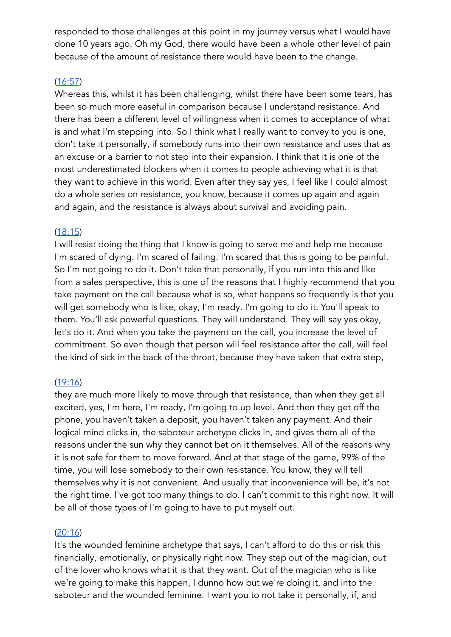responded to those challenges at this point in my journey versus what I would have done 10 years ago. Oh my God, there would have been a whole other level of pain because of the amount of resistance there would have been to the change.

# $(16:57)$

Whereas this, whilst it has been challenging, whilst there have been some tears, has been so much more easeful in comparison because I understand resistance. And there has been a different level of willingness when it comes to acceptance of what is and what I'm stepping into. So I think what I really want to convey to you is one, don't take it personally, if somebody runs into their own resistance and uses that as an excuse or a barrier to not step into their expansion. I think that it is one of the most underestimated blockers when it comes to people achieving what it is that they want to achieve in this world. Even after they say yes, I feel like I could almost do a whole series on resistance, you know, because it comes up again and again and again, and the resistance is always about survival and avoiding pain.

## $(18:15)$

I will resist doing the thing that I know is going to serve me and help me because I'm scared of dying. I'm scared of failing. I'm scared that this is going to be painful. So I'm not going to do it. Don't take that personally, if you run into this and like from a sales perspective, this is one of the reasons that I highly recommend that you take payment on the call because what is so, what happens so frequently is that you will get somebody who is like, okay, I'm ready. I'm going to do it. You'll speak to them. You'll ask powerful questions. They will understand. They will say yes okay, let's do it. And when you take the payment on the call, you increase the level of commitment. So even though that person will feel resistance after the call, will feel the kind of sick in the back of the throat, because they have taken that extra step,

## $(19:16)$

they are much more likely to move through that resistance, than when they get all excited, yes, I'm here, I'm ready, I'm going to up level. And then they get off the phone, you haven't taken a deposit, you haven't taken any payment. And their logical mind clicks in, the saboteur archetype clicks in, and gives them all of the reasons under the sun why they cannot bet on it themselves. All of the reasons why it is not safe for them to move forward. And at that stage of the game, 99% of the time, you will lose somebody to their own resistance. You know, they will tell themselves why it is not convenient. And usually that inconvenience will be, it's not the right time. I've got too many things to do. I can't commit to this right now. It will be all of those types of I'm going to have to put myself out.

## $(20:16)$

It's the wounded feminine archetype that says, I can't afford to do this or risk this financially, emotionally, or physically right now. They step out of the magician, out of the lover who knows what it is that they want. Out of the magician who is like we're going to make this happen, I dunno how but we're doing it, and into the saboteur and the wounded feminine. I want you to not take it personally, if, and